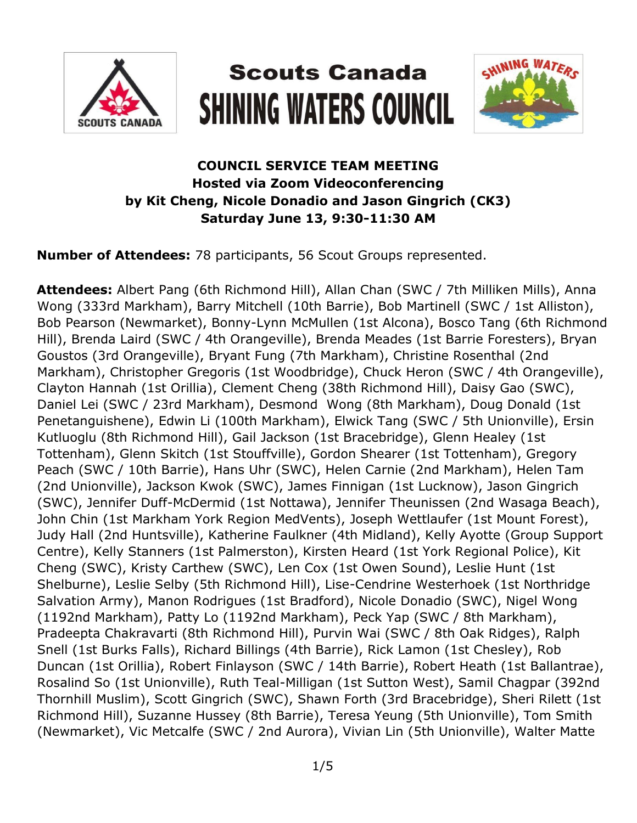

# **Scouts Canada SHINING WATERS COUNCIL**



## **COUNCIL SERVICE TEAM MEETING Hosted via Zoom Videoconferencing by Kit Cheng, Nicole Donadio and Jason Gingrich (CK3) Saturday June 13, 9:30-11:30 AM**

**Number of Attendees:** 78 participants, 56 Scout Groups represented.

**Attendees:** Albert Pang (6th Richmond Hill), Allan Chan (SWC / 7th Milliken Mills), Anna Wong (333rd Markham), Barry Mitchell (10th Barrie), Bob Martinell (SWC / 1st Alliston), Bob Pearson (Newmarket), Bonny-Lynn McMullen (1st Alcona), Bosco Tang (6th Richmond Hill), Brenda Laird (SWC / 4th Orangeville), Brenda Meades (1st Barrie Foresters), Bryan Goustos (3rd Orangeville), Bryant Fung (7th Markham), Christine Rosenthal (2nd Markham), Christopher Gregoris (1st Woodbridge), Chuck Heron (SWC / 4th Orangeville), Clayton Hannah (1st Orillia), Clement Cheng (38th Richmond Hill), Daisy Gao (SWC), Daniel Lei (SWC / 23rd Markham), Desmond Wong (8th Markham), Doug Donald (1st Penetanguishene), Edwin Li (100th Markham), Elwick Tang (SWC / 5th Unionville), Ersin Kutluoglu (8th Richmond Hill), Gail Jackson (1st Bracebridge), Glenn Healey (1st Tottenham), Glenn Skitch (1st Stouffville), Gordon Shearer (1st Tottenham), Gregory Peach (SWC / 10th Barrie), Hans Uhr (SWC), Helen Carnie (2nd Markham), Helen Tam (2nd Unionville), Jackson Kwok (SWC), James Finnigan (1st Lucknow), Jason Gingrich (SWC), Jennifer Duff-McDermid (1st Nottawa), Jennifer Theunissen (2nd Wasaga Beach), John Chin (1st Markham York Region MedVents), Joseph Wettlaufer (1st Mount Forest), Judy Hall (2nd Huntsville), Katherine Faulkner (4th Midland), Kelly Ayotte (Group Support Centre), Kelly Stanners (1st Palmerston), Kirsten Heard (1st York Regional Police), Kit Cheng (SWC), Kristy Carthew (SWC), Len Cox (1st Owen Sound), Leslie Hunt (1st Shelburne), Leslie Selby (5th Richmond Hill), Lise-Cendrine Westerhoek (1st Northridge Salvation Army), Manon Rodrigues (1st Bradford), Nicole Donadio (SWC), Nigel Wong (1192nd Markham), Patty Lo (1192nd Markham), Peck Yap (SWC / 8th Markham), Pradeepta Chakravarti (8th Richmond Hill), Purvin Wai (SWC / 8th Oak Ridges), Ralph Snell (1st Burks Falls), Richard Billings (4th Barrie), Rick Lamon (1st Chesley), Rob Duncan (1st Orillia), Robert Finlayson (SWC / 14th Barrie), Robert Heath (1st Ballantrae), Rosalind So (1st Unionville), Ruth Teal-Milligan (1st Sutton West), Samil Chagpar (392nd Thornhill Muslim), Scott Gingrich (SWC), Shawn Forth (3rd Bracebridge), Sheri Rilett (1st Richmond Hill), Suzanne Hussey (8th Barrie), Teresa Yeung (5th Unionville), Tom Smith (Newmarket), Vic Metcalfe (SWC / 2nd Aurora), Vivian Lin (5th Unionville), Walter Matte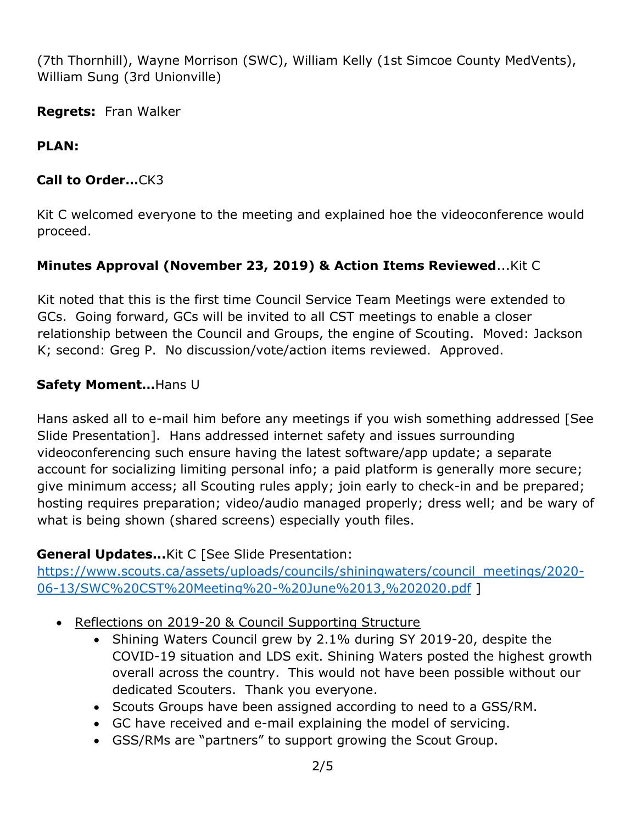(7th Thornhill), Wayne Morrison (SWC), William Kelly (1st Simcoe County MedVents), William Sung (3rd Unionville)

**Regrets:** Fran Walker

#### **PLAN:**

#### **Call to Order…**CK3

Kit C welcomed everyone to the meeting and explained hoe the videoconference would proceed.

#### **Minutes Approval (November 23, 2019) & Action Items Reviewed**...Kit C

Kit noted that this is the first time Council Service Team Meetings were extended to GCs. Going forward, GCs will be invited to all CST meetings to enable a closer relationship between the Council and Groups, the engine of Scouting. Moved: Jackson K; second: Greg P. No discussion/vote/action items reviewed. Approved.

#### **Safety Moment…**Hans U

Hans asked all to e-mail him before any meetings if you wish something addressed [See Slide Presentation]. Hans addressed internet safety and issues surrounding videoconferencing such ensure having the latest software/app update; a separate account for socializing limiting personal info; a paid platform is generally more secure; give minimum access; all Scouting rules apply; join early to check-in and be prepared; hosting requires preparation; video/audio managed properly; dress well; and be wary of what is being shown (shared screens) especially youth files.

#### **General Updates...**Kit C [See Slide Presentation:

[https://www.scouts.ca/assets/uploads/councils/shiningwaters/council\\_meetings/2020-](https://www.scouts.ca/assets/uploads/councils/shiningwaters/council_meetings/2020-06-13/SWC%20CST%20Meeting%20-%20June%2013,%202020.pdf) [06-13/SWC%20CST%20Meeting%20-%20June%2013,%202020.pdf](https://www.scouts.ca/assets/uploads/councils/shiningwaters/council_meetings/2020-06-13/SWC%20CST%20Meeting%20-%20June%2013,%202020.pdf) ]

- Reflections on 2019-20 & Council Supporting Structure
	- Shining Waters Council grew by 2.1% during SY 2019-20, despite the COVID-19 situation and LDS exit. Shining Waters posted the highest growth overall across the country. This would not have been possible without our dedicated Scouters. Thank you everyone.
	- Scouts Groups have been assigned according to need to a GSS/RM.
	- GC have received and e-mail explaining the model of servicing.
	- GSS/RMs are "partners" to support growing the Scout Group.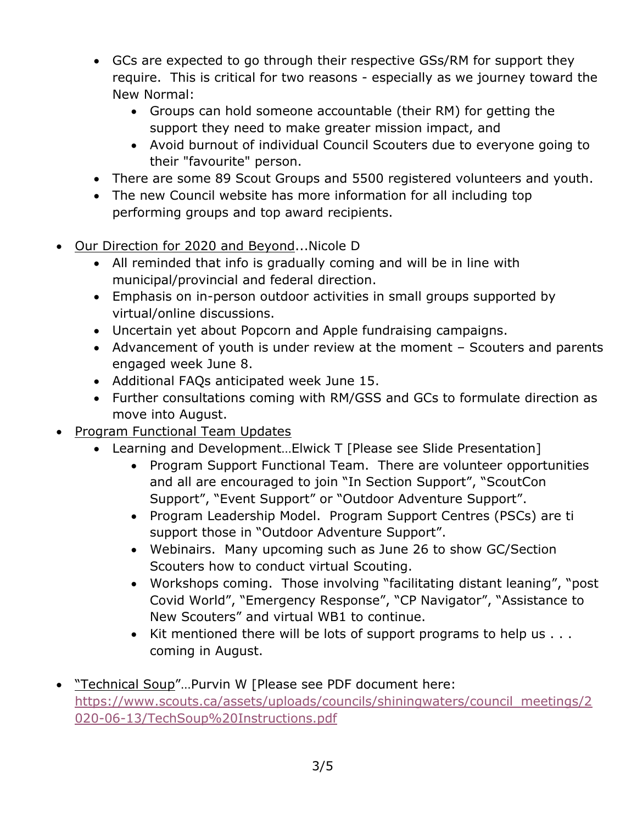- GCs are expected to go through their respective GSs/RM for support they require. This is critical for two reasons - especially as we journey toward the New Normal:
	- Groups can hold someone accountable (their RM) for getting the support they need to make greater mission impact, and
	- Avoid burnout of individual Council Scouters due to everyone going to their "favourite" person.
- There are some 89 Scout Groups and 5500 registered volunteers and youth.
- The new Council website has more information for all including top performing groups and top award recipients.
- Our Direction for 2020 and Beyond...Nicole D
	- All reminded that info is gradually coming and will be in line with municipal/provincial and federal direction.
	- Emphasis on in-person outdoor activities in small groups supported by virtual/online discussions.
	- Uncertain yet about Popcorn and Apple fundraising campaigns.
	- Advancement of youth is under review at the moment Scouters and parents engaged week June 8.
	- Additional FAQs anticipated week June 15.
	- Further consultations coming with RM/GSS and GCs to formulate direction as move into August.
- Program Functional Team Updates
	- Learning and Development…Elwick T [Please see Slide Presentation]
		- Program Support Functional Team. There are volunteer opportunities and all are encouraged to join "In Section Support", "ScoutCon Support", "Event Support" or "Outdoor Adventure Support".
		- Program Leadership Model. Program Support Centres (PSCs) are ti support those in "Outdoor Adventure Support".
		- Webinairs. Many upcoming such as June 26 to show GC/Section Scouters how to conduct virtual Scouting.
		- Workshops coming. Those involving "facilitating distant leaning", "post Covid World", "Emergency Response", "CP Navigator", "Assistance to New Scouters" and virtual WB1 to continue.
		- $\bullet$  Kit mentioned there will be lots of support programs to help us  $\dots$ coming in August.
- "Technical Soup"...Purvin W [Please see PDF document here: [https://www.scouts.ca/assets/uploads/councils/shiningwaters/council\\_meetings/2](https://www.scouts.ca/assets/uploads/councils/shiningwaters/council_meetings/2020-06-13/TechSoup%20Instructions.pdf) [020-06-13/TechSoup%20Instructions.pdf](https://www.scouts.ca/assets/uploads/councils/shiningwaters/council_meetings/2020-06-13/TechSoup%20Instructions.pdf)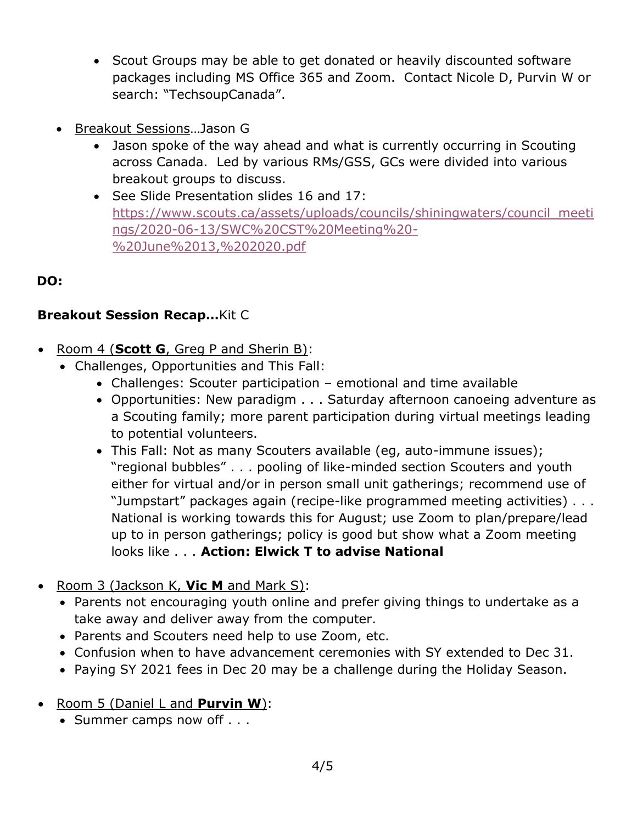- Scout Groups may be able to get donated or heavily discounted software packages including MS Office 365 and Zoom. Contact Nicole D, Purvin W or search: "TechsoupCanada".
- Breakout Sessions…Jason G
	- Jason spoke of the way ahead and what is currently occurring in Scouting across Canada. Led by various RMs/GSS, GCs were divided into various breakout groups to discuss.
	- See Slide Presentation slides 16 and 17: [https://www.scouts.ca/assets/uploads/councils/shiningwaters/council\\_meeti](https://www.scouts.ca/assets/uploads/councils/shiningwaters/council_meetings/2020-06-13/SWC%20CST%20Meeting%20-%20June%2013,%202020.pdf) [ngs/2020-06-13/SWC%20CST%20Meeting%20-](https://www.scouts.ca/assets/uploads/councils/shiningwaters/council_meetings/2020-06-13/SWC%20CST%20Meeting%20-%20June%2013,%202020.pdf) [%20June%2013,%202020.pdf](https://www.scouts.ca/assets/uploads/councils/shiningwaters/council_meetings/2020-06-13/SWC%20CST%20Meeting%20-%20June%2013,%202020.pdf)

## **DO:**

#### **Breakout Session Recap…**Kit C

- Room 4 (**Scott G**, Greg P and Sherin B):
	- Challenges, Opportunities and This Fall:
		- Challenges: Scouter participation emotional and time available
		- Opportunities: New paradigm . . . Saturday afternoon canoeing adventure as a Scouting family; more parent participation during virtual meetings leading to potential volunteers.
		- This Fall: Not as many Scouters available (eg, auto-immune issues); "regional bubbles" . . . pooling of like-minded section Scouters and youth either for virtual and/or in person small unit gatherings; recommend use of "Jumpstart" packages again (recipe-like programmed meeting activities) . . . National is working towards this for August; use Zoom to plan/prepare/lead up to in person gatherings; policy is good but show what a Zoom meeting looks like . . . **Action: Elwick T to advise National**
- Room 3 (Jackson K, **Vic M** and Mark S):
	- Parents not encouraging youth online and prefer giving things to undertake as a take away and deliver away from the computer.
	- Parents and Scouters need help to use Zoom, etc.
	- Confusion when to have advancement ceremonies with SY extended to Dec 31.
	- Paying SY 2021 fees in Dec 20 may be a challenge during the Holiday Season.
- Room 5 (Daniel L and **Purvin W**):
	- Summer camps now off . . .